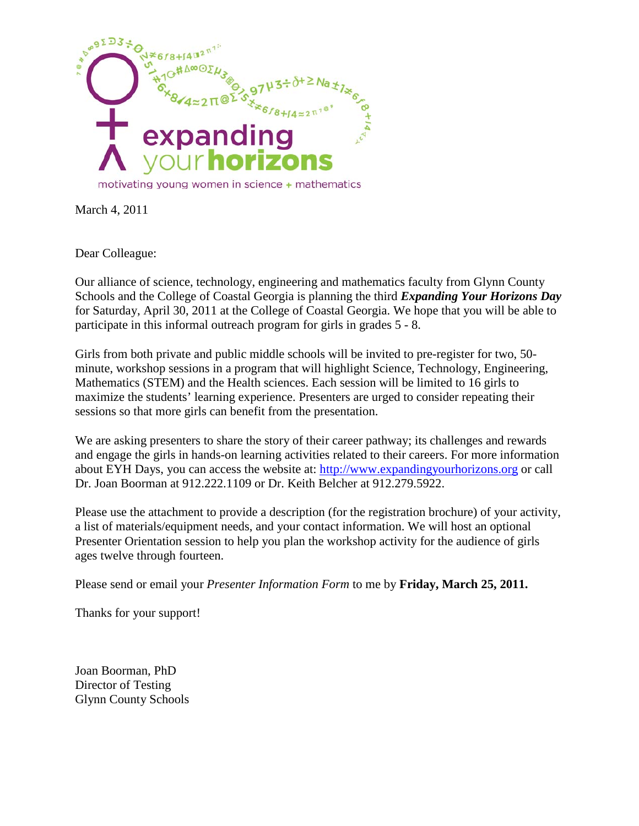

March 4, 2011

Dear Colleague:

Our alliance of science, technology, engineering and mathematics faculty from Glynn County Schools and the College of Coastal Georgia is planning the third *Expanding Your Horizons Day* for Saturday, April 30, 2011 at the College of Coastal Georgia. We hope that you will be able to participate in this informal outreach program for girls in grades 5 - 8.

Girls from both private and public middle schools will be invited to pre-register for two, 50 minute, workshop sessions in a program that will highlight Science, Technology, Engineering, Mathematics (STEM) and the Health sciences. Each session will be limited to 16 girls to maximize the students' learning experience. Presenters are urged to consider repeating their sessions so that more girls can benefit from the presentation.

We are asking presenters to share the story of their career pathway; its challenges and rewards and engage the girls in hands-on learning activities related to their careers. For more information about EYH Days, you can access the website at: [http://www.expandingyourhorizons.org](http://www.expandingyourhorizons.org/) or call Dr. Joan Boorman at 912.222.1109 or Dr. Keith Belcher at 912.279.5922.

Please use the attachment to provide a description (for the registration brochure) of your activity, a list of materials/equipment needs, and your contact information. We will host an optional Presenter Orientation session to help you plan the workshop activity for the audience of girls ages twelve through fourteen.

Please send or email your *Presenter Information Form* to me by **Friday, March 25, 2011.**

Thanks for your support!

Joan Boorman, PhD Director of Testing Glynn County Schools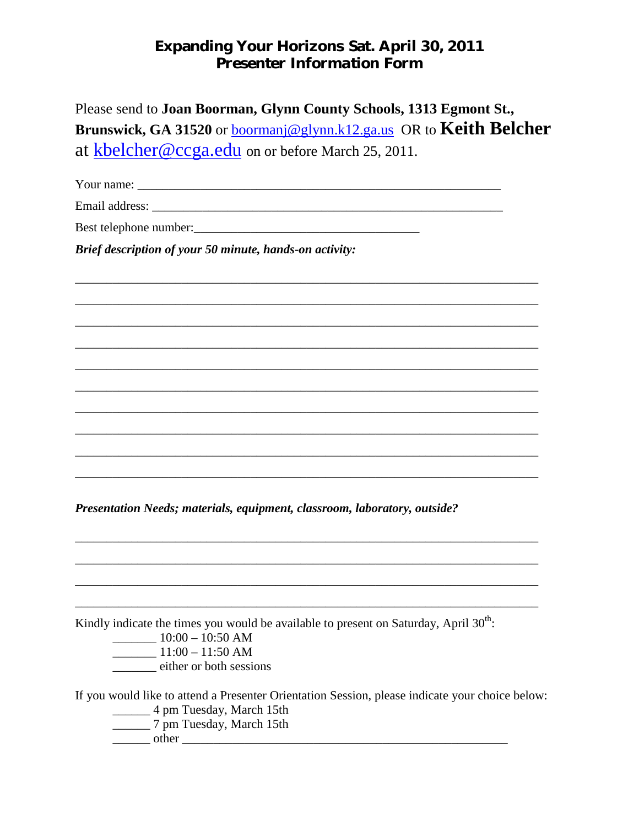## Expanding Your Horizons Sat. April 30, 2011 *Presenter Information Form*

| Please send to Joan Boorman, Glynn County Schools, 1313 Egmont St.,               |
|-----------------------------------------------------------------------------------|
| Brunswick, GA 31520 or <u>boormanj@glynn.k12.ga.us</u> OR to <b>Keith Belcher</b> |
| at kbelcher@ccga.edu on or before March 25, 2011.                                 |

\_\_\_\_\_\_\_\_\_\_\_\_\_\_\_\_\_\_\_\_\_\_\_\_\_\_\_\_\_\_\_\_\_\_\_\_\_\_\_\_\_\_\_\_\_\_\_\_\_\_\_\_\_\_\_\_\_\_\_\_\_\_\_\_\_\_\_\_\_\_\_\_\_\_

\_\_\_\_\_\_\_\_\_\_\_\_\_\_\_\_\_\_\_\_\_\_\_\_\_\_\_\_\_\_\_\_\_\_\_\_\_\_\_\_\_\_\_\_\_\_\_\_\_\_\_\_\_\_\_\_\_\_\_\_\_\_\_\_\_\_\_\_\_\_\_\_\_\_

\_\_\_\_\_\_\_\_\_\_\_\_\_\_\_\_\_\_\_\_\_\_\_\_\_\_\_\_\_\_\_\_\_\_\_\_\_\_\_\_\_\_\_\_\_\_\_\_\_\_\_\_\_\_\_\_\_\_\_\_\_\_\_\_\_\_\_\_\_\_\_\_\_\_

\_\_\_\_\_\_\_\_\_\_\_\_\_\_\_\_\_\_\_\_\_\_\_\_\_\_\_\_\_\_\_\_\_\_\_\_\_\_\_\_\_\_\_\_\_\_\_\_\_\_\_\_\_\_\_\_\_\_\_\_\_\_\_\_\_\_\_\_\_\_\_\_\_\_

\_\_\_\_\_\_\_\_\_\_\_\_\_\_\_\_\_\_\_\_\_\_\_\_\_\_\_\_\_\_\_\_\_\_\_\_\_\_\_\_\_\_\_\_\_\_\_\_\_\_\_\_\_\_\_\_\_\_\_\_\_\_\_\_\_\_\_\_\_\_\_\_\_\_

\_\_\_\_\_\_\_\_\_\_\_\_\_\_\_\_\_\_\_\_\_\_\_\_\_\_\_\_\_\_\_\_\_\_\_\_\_\_\_\_\_\_\_\_\_\_\_\_\_\_\_\_\_\_\_\_\_\_\_\_\_\_\_\_\_\_\_\_\_\_\_\_\_\_

\_\_\_\_\_\_\_\_\_\_\_\_\_\_\_\_\_\_\_\_\_\_\_\_\_\_\_\_\_\_\_\_\_\_\_\_\_\_\_\_\_\_\_\_\_\_\_\_\_\_\_\_\_\_\_\_\_\_\_\_\_\_\_\_\_\_\_\_\_\_\_\_\_\_

\_\_\_\_\_\_\_\_\_\_\_\_\_\_\_\_\_\_\_\_\_\_\_\_\_\_\_\_\_\_\_\_\_\_\_\_\_\_\_\_\_\_\_\_\_\_\_\_\_\_\_\_\_\_\_\_\_\_\_\_\_\_\_\_\_\_\_\_\_\_\_\_\_\_

\_\_\_\_\_\_\_\_\_\_\_\_\_\_\_\_\_\_\_\_\_\_\_\_\_\_\_\_\_\_\_\_\_\_\_\_\_\_\_\_\_\_\_\_\_\_\_\_\_\_\_\_\_\_\_\_\_\_\_\_\_\_\_\_\_\_\_\_\_\_\_\_\_\_

\_\_\_\_\_\_\_\_\_\_\_\_\_\_\_\_\_\_\_\_\_\_\_\_\_\_\_\_\_\_\_\_\_\_\_\_\_\_\_\_\_\_\_\_\_\_\_\_\_\_\_\_\_\_\_\_\_\_\_\_\_\_\_\_\_\_\_\_\_\_\_\_\_\_

\_\_\_\_\_\_\_\_\_\_\_\_\_\_\_\_\_\_\_\_\_\_\_\_\_\_\_\_\_\_\_\_\_\_\_\_\_\_\_\_\_\_\_\_\_\_\_\_\_\_\_\_\_\_\_\_\_\_\_\_\_\_\_\_\_\_\_\_\_\_\_\_\_\_

\_\_\_\_\_\_\_\_\_\_\_\_\_\_\_\_\_\_\_\_\_\_\_\_\_\_\_\_\_\_\_\_\_\_\_\_\_\_\_\_\_\_\_\_\_\_\_\_\_\_\_\_\_\_\_\_\_\_\_\_\_\_\_\_\_\_\_\_\_\_\_\_\_\_

\_\_\_\_\_\_\_\_\_\_\_\_\_\_\_\_\_\_\_\_\_\_\_\_\_\_\_\_\_\_\_\_\_\_\_\_\_\_\_\_\_\_\_\_\_\_\_\_\_\_\_\_\_\_\_\_\_\_\_\_\_\_\_\_\_\_\_\_\_\_\_\_\_\_

Your name:

Email address: \_\_\_\_\_\_\_\_\_\_\_\_\_\_\_\_\_\_\_\_\_\_\_\_\_\_\_\_\_\_\_\_\_\_\_\_\_\_\_\_\_\_\_\_\_\_\_\_\_\_\_\_\_\_\_\_

Best telephone number:\_\_\_\_\_\_\_\_\_\_\_\_\_\_\_\_\_\_\_\_\_\_\_\_\_\_\_\_\_\_\_\_\_\_\_\_

*Brief description of your 50 minute, hands-on activity:*

*Presentation Needs; materials, equipment, classroom, laboratory, outside?*

Kindly indicate the times you would be available to present on Saturday, April  $30<sup>th</sup>$ :

- $\frac{10:00 10:50 \text{ AM}}{}$
- \_\_\_\_\_\_\_ 11:00 11:50 AM
- \_\_\_\_\_\_\_ either or both sessions

If you would like to attend a Presenter Orientation Session, please indicate your choice below: \_\_\_\_\_\_ 4 pm Tuesday, March 15th \_\_\_\_\_\_ 7 pm Tuesday, March 15th

\_\_\_\_\_\_ other \_\_\_\_\_\_\_\_\_\_\_\_\_\_\_\_\_\_\_\_\_\_\_\_\_\_\_\_\_\_\_\_\_\_\_\_\_\_\_\_\_\_\_\_\_\_\_\_\_\_\_\_